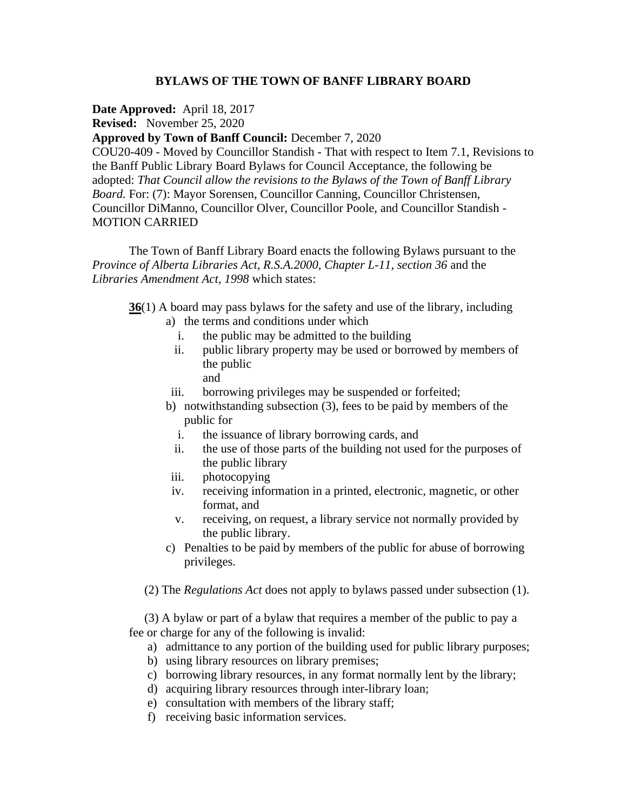# **BYLAWS OF THE TOWN OF BANFF LIBRARY BOARD**

**Date Approved:** April 18, 2017

**Revised:** November 25, 2020

# **Approved by Town of Banff Council:** December 7, 2020

COU20-409 - Moved by Councillor Standish - That with respect to Item 7.1, Revisions to the Banff Public Library Board Bylaws for Council Acceptance, the following be adopted: *That Council allow the revisions to the Bylaws of the Town of Banff Library Board.* For: (7): Mayor Sorensen, Councillor Canning, Councillor Christensen, Councillor DiManno, Councillor Olver, Councillor Poole, and Councillor Standish - MOTION CARRIED

The Town of Banff Library Board enacts the following Bylaws pursuant to the *Province of Alberta Libraries Act, R.S.A.2000, Chapter L-11, section 36 and the Libraries Amendment Act, 1998* which states:

**36**(1) A board may pass bylaws for the safety and use of the library, including

- a) the terms and conditions under which
	- i. the public may be admitted to the building
	- ii. public library property may be used or borrowed by members of the public
		- and
- iii. borrowing privileges may be suspended or forfeited;
- b) notwithstanding subsection (3), fees to be paid by members of the public for
	- i. the issuance of library borrowing cards, and
	- ii. the use of those parts of the building not used for the purposes of the public library
- iii. photocopying
- iv. receiving information in a printed, electronic, magnetic, or other format, and
- v. receiving, on request, a library service not normally provided by the public library.
- c) Penalties to be paid by members of the public for abuse of borrowing privileges.

(2) The *Regulations Act* does not apply to bylaws passed under subsection (1).

 (3) A bylaw or part of a bylaw that requires a member of the public to pay a fee or charge for any of the following is invalid:

- a) admittance to any portion of the building used for public library purposes;
- b) using library resources on library premises;
- c) borrowing library resources, in any format normally lent by the library;
- d) acquiring library resources through inter-library loan;
- e) consultation with members of the library staff;
- f) receiving basic information services.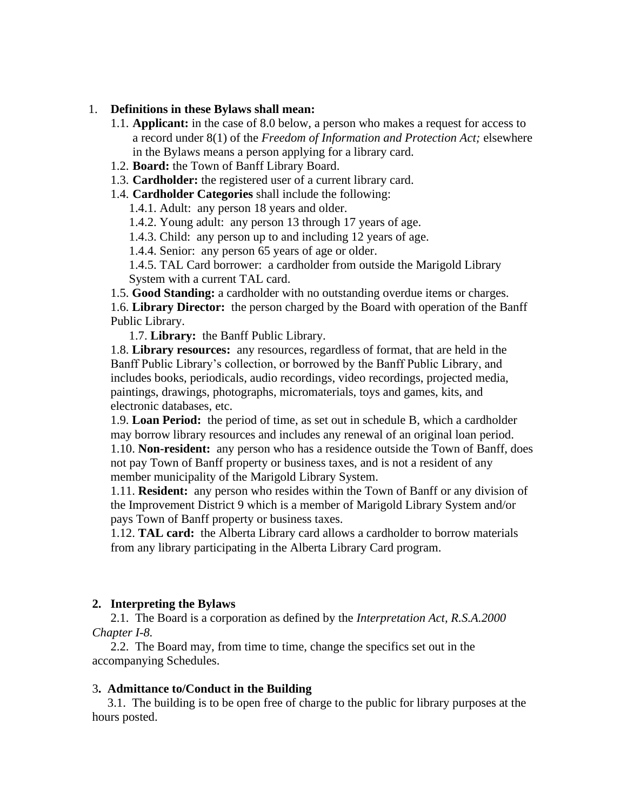### 1. **Definitions in these Bylaws shall mean:**

- 1.1. **Applicant:** in the case of 8.0 below, a person who makes a request for access to a record under 8(1) of the *Freedom of Information and Protection Act;* elsewhere in the Bylaws means a person applying for a library card.
- 1.2. **Board:** the Town of Banff Library Board.
- 1.3. **Cardholder:** the registered user of a current library card.
- 1.4. **Cardholder Categories** shall include the following:
	- 1.4.1. Adult: any person 18 years and older.
	- 1.4.2. Young adult: any person 13 through 17 years of age.
	- 1.4.3. Child: any person up to and including 12 years of age.
	- 1.4.4. Senior: any person 65 years of age or older.

1.4.5. TAL Card borrower: a cardholder from outside the Marigold Library System with a current TAL card.

1.5. **Good Standing:** a cardholder with no outstanding overdue items or charges. 1.6. **Library Director:** the person charged by the Board with operation of the Banff Public Library.

1.7. **Library:** the Banff Public Library.

1.8. **Library resources:** any resources, regardless of format, that are held in the Banff Public Library's collection, or borrowed by the Banff Public Library, and includes books, periodicals, audio recordings, video recordings, projected media, paintings, drawings, photographs, micromaterials, toys and games, kits, and electronic databases, etc.

1.9. **Loan Period:** the period of time, as set out in schedule B, which a cardholder may borrow library resources and includes any renewal of an original loan period. 1.10. **Non-resident:** any person who has a residence outside the Town of Banff, does not pay Town of Banff property or business taxes, and is not a resident of any member municipality of the Marigold Library System.

1.11. **Resident:** any person who resides within the Town of Banff or any division of the Improvement District 9 which is a member of Marigold Library System and/or pays Town of Banff property or business taxes.

1.12. **TAL card:** the Alberta Library card allows a cardholder to borrow materials from any library participating in the Alberta Library Card program.

## **2. Interpreting the Bylaws**

 2.1. The Board is a corporation as defined by the *Interpretation Act, R.S.A.2000 Chapter I-8.*

2.2. The Board may, from time to time, change the specifics set out in the accompanying Schedules.

### 3**. Admittance to/Conduct in the Building**

 3.1. The building is to be open free of charge to the public for library purposes at the hours posted.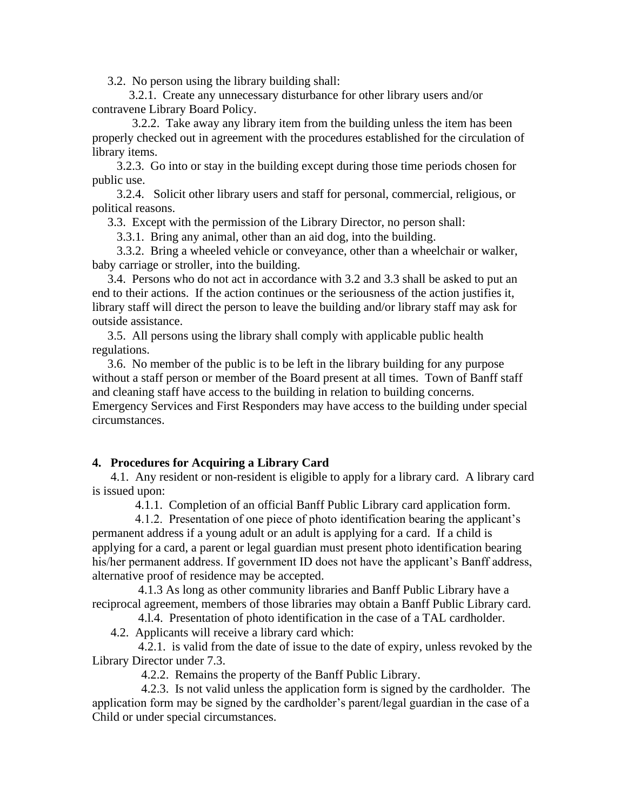3.2. No person using the library building shall:

 3.2.1. Create any unnecessary disturbance for other library users and/or contravene Library Board Policy.

 3.2.2. Take away any library item from the building unless the item has been properly checked out in agreement with the procedures established for the circulation of library items.

 3.2.3. Go into or stay in the building except during those time periods chosen for public use.

 3.2.4. Solicit other library users and staff for personal, commercial, religious, or political reasons.

3.3. Except with the permission of the Library Director, no person shall:

3.3.1. Bring any animal, other than an aid dog, into the building.

 3.3.2. Bring a wheeled vehicle or conveyance, other than a wheelchair or walker, baby carriage or stroller, into the building.

 3.4. Persons who do not act in accordance with 3.2 and 3.3 shall be asked to put an end to their actions. If the action continues or the seriousness of the action justifies it, library staff will direct the person to leave the building and/or library staff may ask for outside assistance.

 3.5. All persons using the library shall comply with applicable public health regulations.

 3.6. No member of the public is to be left in the library building for any purpose without a staff person or member of the Board present at all times. Town of Banff staff and cleaning staff have access to the building in relation to building concerns.

Emergency Services and First Responders may have access to the building under special circumstances.

## **4. Procedures for Acquiring a Library Card**

 4.1. Any resident or non-resident is eligible to apply for a library card. A library card is issued upon:

4.1.1. Completion of an official Banff Public Library card application form.

 4.1.2. Presentation of one piece of photo identification bearing the applicant's permanent address if a young adult or an adult is applying for a card. If a child is applying for a card, a parent or legal guardian must present photo identification bearing his/her permanent address. If government ID does not have the applicant's Banff address, alternative proof of residence may be accepted.

 4.1.3 As long as other community libraries and Banff Public Library have a reciprocal agreement, members of those libraries may obtain a Banff Public Library card.

4.l.4. Presentation of photo identification in the case of a TAL cardholder.

4.2. Applicants will receive a library card which:

 4.2.1. is valid from the date of issue to the date of expiry, unless revoked by the Library Director under 7.3.

4.2.2. Remains the property of the Banff Public Library.

 4.2.3. Is not valid unless the application form is signed by the cardholder. The application form may be signed by the cardholder's parent/legal guardian in the case of a Child or under special circumstances.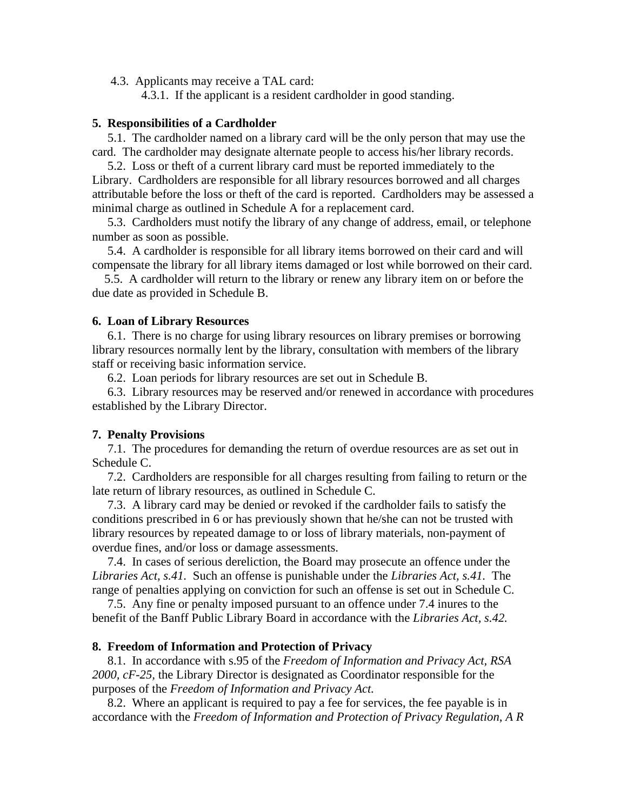4.3. Applicants may receive a TAL card:

4.3.1. If the applicant is a resident cardholder in good standing.

### **5. Responsibilities of a Cardholder**

 5.1. The cardholder named on a library card will be the only person that may use the card. The cardholder may designate alternate people to access his/her library records.

 5.2. Loss or theft of a current library card must be reported immediately to the Library. Cardholders are responsible for all library resources borrowed and all charges attributable before the loss or theft of the card is reported. Cardholders may be assessed a minimal charge as outlined in Schedule A for a replacement card.

 5.3. Cardholders must notify the library of any change of address, email, or telephone number as soon as possible.

 5.4. A cardholder is responsible for all library items borrowed on their card and will compensate the library for all library items damaged or lost while borrowed on their card.

 5.5. A cardholder will return to the library or renew any library item on or before the due date as provided in Schedule B.

### **6. Loan of Library Resources**

 6.1. There is no charge for using library resources on library premises or borrowing library resources normally lent by the library, consultation with members of the library staff or receiving basic information service.

6.2. Loan periods for library resources are set out in Schedule B.

 6.3. Library resources may be reserved and/or renewed in accordance with procedures established by the Library Director.

### **7. Penalty Provisions**

 7.1. The procedures for demanding the return of overdue resources are as set out in Schedule C.

 7.2. Cardholders are responsible for all charges resulting from failing to return or the late return of library resources, as outlined in Schedule C.

 7.3. A library card may be denied or revoked if the cardholder fails to satisfy the conditions prescribed in 6 or has previously shown that he/she can not be trusted with library resources by repeated damage to or loss of library materials, non-payment of overdue fines, and/or loss or damage assessments.

 7.4. In cases of serious dereliction, the Board may prosecute an offence under the *Libraries Act, s.41.* Such an offense is punishable under the *Libraries Act, s.41.* The range of penalties applying on conviction for such an offense is set out in Schedule C.

 7.5. Any fine or penalty imposed pursuant to an offence under 7.4 inures to the benefit of the Banff Public Library Board in accordance with the *Libraries Act, s.42.*

#### **8. Freedom of Information and Protection of Privacy**

 8.1. In accordance with s.95 of the *Freedom of Information and Privacy Act, RSA 2000, cF-25,* the Library Director is designated as Coordinator responsible for the purposes of the *Freedom of Information and Privacy Act.*

 8.2. Where an applicant is required to pay a fee for services, the fee payable is in accordance with the *Freedom of Information and Protection of Privacy Regulation, A R*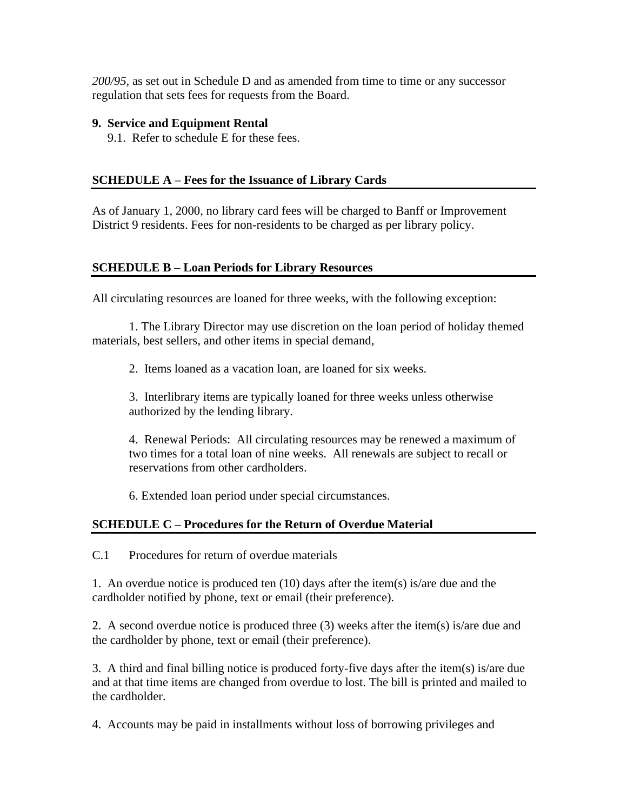*200/95,* as set out in Schedule D and as amended from time to time or any successor regulation that sets fees for requests from the Board.

## **9. Service and Equipment Rental**

9.1. Refer to schedule E for these fees.

# **SCHEDULE A – Fees for the Issuance of Library Cards**

As of January 1, 2000, no library card fees will be charged to Banff or Improvement District 9 residents. Fees for non-residents to be charged as per library policy.

# **SCHEDULE B – Loan Periods for Library Resources**

All circulating resources are loaned for three weeks, with the following exception:

1. The Library Director may use discretion on the loan period of holiday themed materials, best sellers, and other items in special demand,

2. Items loaned as a vacation loan, are loaned for six weeks.

3. Interlibrary items are typically loaned for three weeks unless otherwise authorized by the lending library.

4. Renewal Periods: All circulating resources may be renewed a maximum of two times for a total loan of nine weeks. All renewals are subject to recall or reservations from other cardholders.

6. Extended loan period under special circumstances.

# **SCHEDULE C – Procedures for the Return of Overdue Material**

C.1 Procedures for return of overdue materials

1. An overdue notice is produced ten (10) days after the item(s) is/are due and the cardholder notified by phone, text or email (their preference).

2. A second overdue notice is produced three (3) weeks after the item(s) is/are due and the cardholder by phone, text or email (their preference).

3. A third and final billing notice is produced forty-five days after the item(s) is/are due and at that time items are changed from overdue to lost. The bill is printed and mailed to the cardholder.

4. Accounts may be paid in installments without loss of borrowing privileges and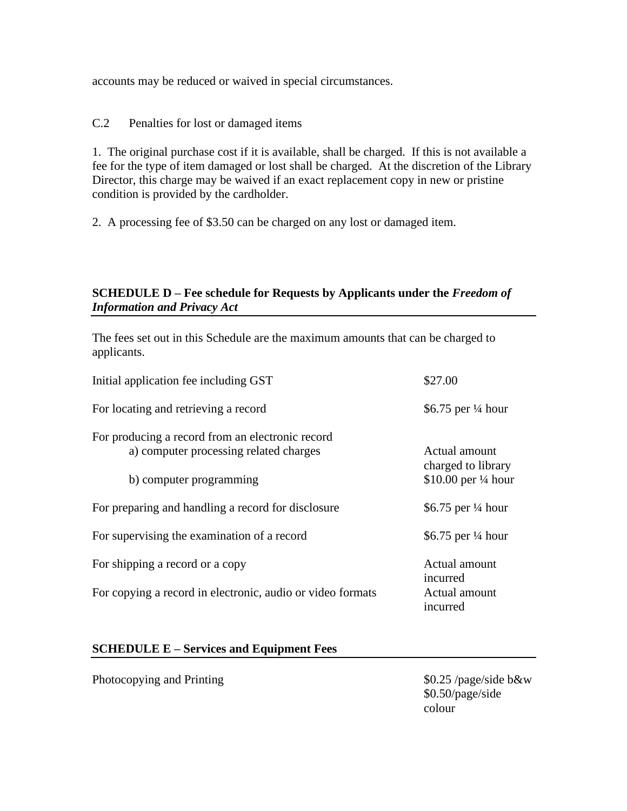accounts may be reduced or waived in special circumstances.

# C.2 Penalties for lost or damaged items

1. The original purchase cost if it is available, shall be charged. If this is not available a fee for the type of item damaged or lost shall be charged. At the discretion of the Library Director, this charge may be waived if an exact replacement copy in new or pristine condition is provided by the cardholder.

2. A processing fee of \$3.50 can be charged on any lost or damaged item.

# **SCHEDULE D – Fee schedule for Requests by Applicants under the** *Freedom of Information and Privacy Act*

The fees set out in this Schedule are the maximum amounts that can be charged to applicants.

| Initial application fee including GST                                                      | \$27.00                             |
|--------------------------------------------------------------------------------------------|-------------------------------------|
| For locating and retrieving a record                                                       | \$6.75 per $\frac{1}{4}$ hour       |
| For producing a record from an electronic record<br>a) computer processing related charges | Actual amount<br>charged to library |
| b) computer programming                                                                    | \$10.00 per $\frac{1}{4}$ hour      |
| For preparing and handling a record for disclosure                                         | \$6.75 per $\frac{1}{4}$ hour       |
| For supervising the examination of a record                                                | \$6.75 per $\frac{1}{4}$ hour       |
| For shipping a record or a copy                                                            | Actual amount<br>incurred           |
| For copying a record in electronic, audio or video formats                                 | Actual amount<br>incurred           |

## **SCHEDULE E – Services and Equipment Fees**

Photocopying and Printing  $$0.25$  /page/side b&w

\$0.50/page/side colour